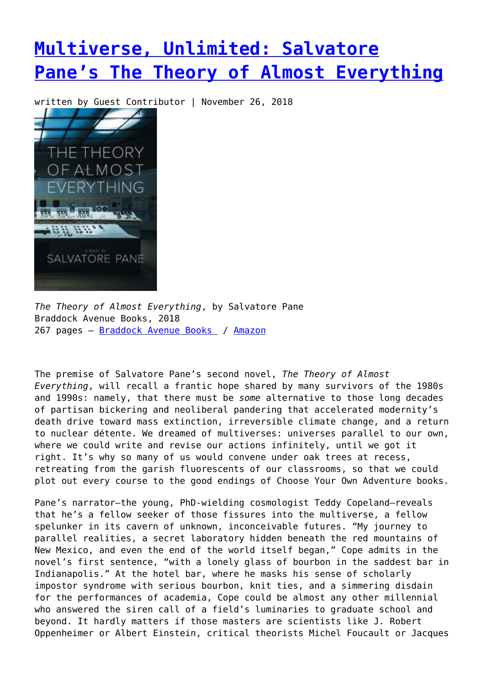## **[Multiverse, Unlimited: Salvatore](https://entropymag.org/salvatore-panes-the-theory-of-almost-everything/) [Pane's The Theory of Almost Everything](https://entropymag.org/salvatore-panes-the-theory-of-almost-everything/)**

written by Guest Contributor | November 26, 2018



*The Theory of Almost Everything*, by Salvatore Pane Braddock Avenue Books, 2018 267 pages – [Braddock Avenue Books](https://shop.braddockavenuebooks.com/shop/braddock/00043.html?id=4NKqZMvG) / [Amazon](https://amzn.to/2E7lEhB)

The premise of Salvatore Pane's second novel, *The Theory of Almost Everything*, will recall a frantic hope shared by many survivors of the 1980s and 1990s: namely, that there must be *some* alternative to those long decades of partisan bickering and neoliberal pandering that accelerated modernity's death drive toward mass extinction, irreversible climate change, and a return to nuclear détente. We dreamed of multiverses: universes parallel to our own, where we could write and revise our actions infinitely, until we got it right. It's why so many of us would convene under oak trees at recess, retreating from the garish fluorescents of our classrooms, so that we could plot out every course to the good endings of Choose Your Own Adventure books.

Pane's narrator—the young, PhD-wielding cosmologist Teddy Copeland—reveals that he's a fellow seeker of those fissures into the multiverse, a fellow spelunker in its cavern of unknown, inconceivable futures. "My journey to parallel realities, a secret laboratory hidden beneath the red mountains of New Mexico, and even the end of the world itself began," Cope admits in the novel's first sentence, "with a lonely glass of bourbon in the saddest bar in Indianapolis." At the hotel bar, where he masks his sense of scholarly impostor syndrome with serious bourbon, knit ties, and a simmering disdain for the performances of academia, Cope could be almost any other millennial who answered the siren call of a field's luminaries to graduate school and beyond. It hardly matters if those masters are scientists like J. Robert Oppenheimer or Albert Einstein, critical theorists Michel Foucault or Jacques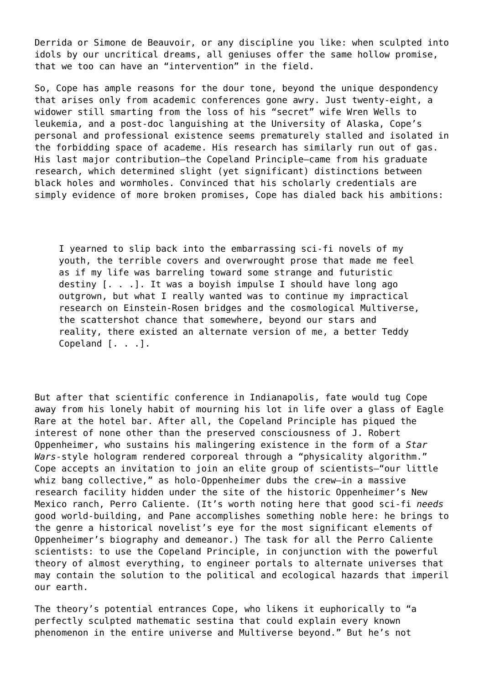Derrida or Simone de Beauvoir, or any discipline you like: when sculpted into idols by our uncritical dreams, all geniuses offer the same hollow promise, that we too can have an "intervention" in the field.

So, Cope has ample reasons for the dour tone, beyond the unique despondency that arises only from academic conferences gone awry. Just twenty-eight, a widower still smarting from the loss of his "secret" wife Wren Wells to leukemia, and a post-doc languishing at the University of Alaska, Cope's personal and professional existence seems prematurely stalled and isolated in the forbidding space of academe. His research has similarly run out of gas. His last major contribution—the Copeland Principle—came from his graduate research, which determined slight (yet significant) distinctions between black holes and wormholes. Convinced that his scholarly credentials are simply evidence of more broken promises, Cope has dialed back his ambitions:

I yearned to slip back into the embarrassing sci-fi novels of my youth, the terrible covers and overwrought prose that made me feel as if my life was barreling toward some strange and futuristic destiny [. . .]. It was a boyish impulse I should have long ago outgrown, but what I really wanted was to continue my impractical research on Einstein-Rosen bridges and the cosmological Multiverse, the scattershot chance that somewhere, beyond our stars and reality, there existed an alternate version of me, a better Teddy Copeland [. . .].

But after that scientific conference in Indianapolis, fate would tug Cope away from his lonely habit of mourning his lot in life over a glass of Eagle Rare at the hotel bar. After all, the Copeland Principle has piqued the interest of none other than the preserved consciousness of J. Robert Oppenheimer, who sustains his malingering existence in the form of a *Star Wars*-style hologram rendered corporeal through a "physicality algorithm." Cope accepts an invitation to join an elite group of scientists—"our little whiz bang collective," as holo-Oppenheimer dubs the crew—in a massive research facility hidden under the site of the historic Oppenheimer's New Mexico ranch, Perro Caliente. (It's worth noting here that good sci-fi *needs* good world-building, and Pane accomplishes something noble here: he brings to the genre a historical novelist's eye for the most significant elements of Oppenheimer's biography and demeanor.) The task for all the Perro Caliente scientists: to use the Copeland Principle, in conjunction with the powerful theory of almost everything, to engineer portals to alternate universes that may contain the solution to the political and ecological hazards that imperil our earth.

The theory's potential entrances Cope, who likens it euphorically to "a perfectly sculpted mathematic sestina that could explain every known phenomenon in the entire universe and Multiverse beyond." But he's not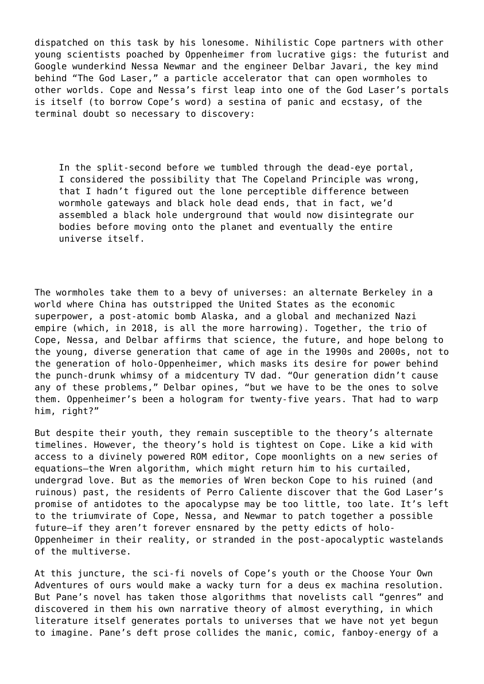dispatched on this task by his lonesome. Nihilistic Cope partners with other young scientists poached by Oppenheimer from lucrative gigs: the futurist and Google wunderkind Nessa Newmar and the engineer Delbar Javari, the key mind behind "The God Laser," a particle accelerator that can open wormholes to other worlds. Cope and Nessa's first leap into one of the God Laser's portals is itself (to borrow Cope's word) a sestina of panic and ecstasy, of the terminal doubt so necessary to discovery:

In the split-second before we tumbled through the dead-eye portal, I considered the possibility that The Copeland Principle was wrong, that I hadn't figured out the lone perceptible difference between wormhole gateways and black hole dead ends, that in fact, we'd assembled a black hole underground that would now disintegrate our bodies before moving onto the planet and eventually the entire universe itself.

The wormholes take them to a bevy of universes: an alternate Berkeley in a world where China has outstripped the United States as the economic superpower, a post-atomic bomb Alaska, and a global and mechanized Nazi empire (which, in 2018, is all the more harrowing). Together, the trio of Cope, Nessa, and Delbar affirms that science, the future, and hope belong to the young, diverse generation that came of age in the 1990s and 2000s, not to the generation of holo-Oppenheimer, which masks its desire for power behind the punch-drunk whimsy of a midcentury TV dad. "Our generation didn't cause any of these problems," Delbar opines, "but we have to be the ones to solve them. Oppenheimer's been a hologram for twenty-five years. That had to warp him, right?"

But despite their youth, they remain susceptible to the theory's alternate timelines. However, the theory's hold is tightest on Cope. Like a kid with access to a divinely powered ROM editor, Cope moonlights on a new series of equations—the Wren algorithm, which might return him to his curtailed, undergrad love. But as the memories of Wren beckon Cope to his ruined (and ruinous) past, the residents of Perro Caliente discover that the God Laser's promise of antidotes to the apocalypse may be too little, too late. It's left to the triumvirate of Cope, Nessa, and Newmar to patch together a possible future—if they aren't forever ensnared by the petty edicts of holo-Oppenheimer in their reality, or stranded in the post-apocalyptic wastelands of the multiverse.

At this juncture, the sci-fi novels of Cope's youth or the Choose Your Own Adventures of ours would make a wacky turn for a deus ex machina resolution. But Pane's novel has taken those algorithms that novelists call "genres" and discovered in them his own narrative theory of almost everything, in which literature itself generates portals to universes that we have not yet begun to imagine. Pane's deft prose collides the manic, comic, fanboy-energy of a